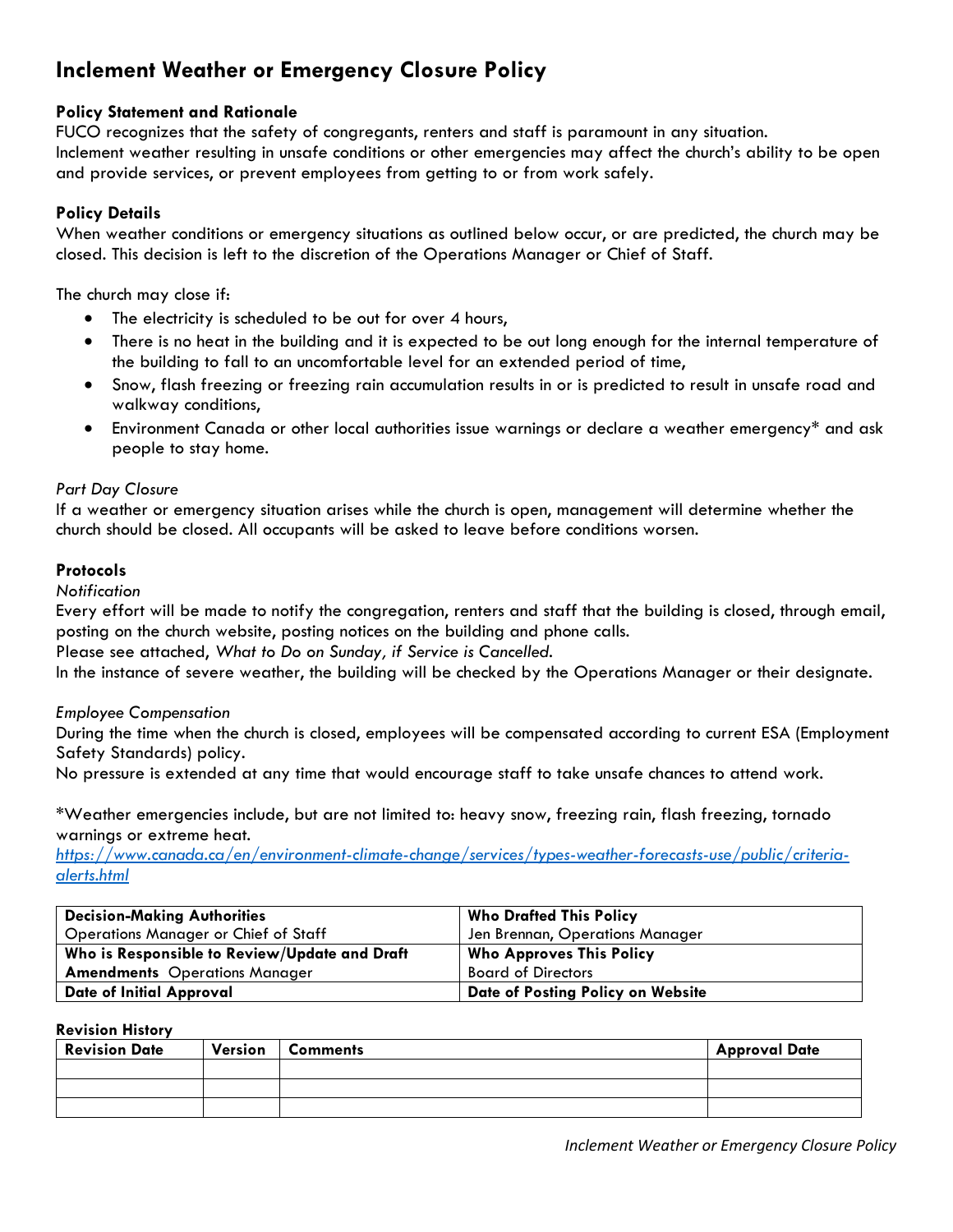# **Inclement Weather or Emergency Closure Policy**

## **Policy Statement and Rationale**

FUCO recognizes that the safety of congregants, renters and staff is paramount in any situation. Inclement weather resulting in unsafe conditions or other emergencies may affect the church's ability to be open and provide services, or prevent employees from getting to or from work safely.

## **Policy Details**

When weather conditions or emergency situations as outlined below occur, or are predicted, the church may be closed. This decision is left to the discretion of the Operations Manager or Chief of Staff.

The church may close if:

- The electricity is scheduled to be out for over 4 hours,
- There is no heat in the building and it is expected to be out long enough for the internal temperature of the building to fall to an uncomfortable level for an extended period of time,
- Snow, flash freezing or freezing rain accumulation results in or is predicted to result in unsafe road and walkway conditions,
- Environment Canada or other local authorities issue warnings or declare a weather emergency\* and ask people to stay home.

#### *Part Day Closure*

If a weather or emergency situation arises while the church is open, management will determine whether the church should be closed. All occupants will be asked to leave before conditions worsen.

#### **Protocols**

*Notification*

Every effort will be made to notify the congregation, renters and staff that the building is closed, through email, posting on the church website, posting notices on the building and phone calls.

Please see attached, *What to Do on Sunday, if Service is Cancelled.*

In the instance of severe weather, the building will be checked by the Operations Manager or their designate.

#### *Employee Compensation*

During the time when the church is closed, employees will be compensated according to current ESA (Employment Safety Standards) policy.

No pressure is extended at any time that would encourage staff to take unsafe chances to attend work.

\*Weather emergencies include, but are not limited to: heavy snow, freezing rain, flash freezing, tornado warnings or extreme heat.

*[https://www.canada.ca/en/environment-climate-change/services/types-weather-forecasts-use/public/criteria](https://www.canada.ca/en/environment-climate-change/services/types-weather-forecasts-use/public/criteria-alerts.html)[alerts.html](https://www.canada.ca/en/environment-climate-change/services/types-weather-forecasts-use/public/criteria-alerts.html)*

| <b>Decision-Making Authorities</b>            | <b>Who Drafted This Policy</b>    |
|-----------------------------------------------|-----------------------------------|
| <b>Operations Manager or Chief of Staff</b>   | Jen Brennan, Operations Manager   |
| Who is Responsible to Review/Update and Draft | <b>Who Approves This Policy</b>   |
| <b>Amendments</b> Operations Manager          | <b>Board of Directors</b>         |
| <b>Date of Initial Approval</b>               | Date of Posting Policy on Website |

#### **Revision History**

| <b>Revision Date</b> | Version | <b>Comments</b> | <b>Approval Date</b> |
|----------------------|---------|-----------------|----------------------|
|                      |         |                 |                      |
|                      |         |                 |                      |
|                      |         |                 |                      |